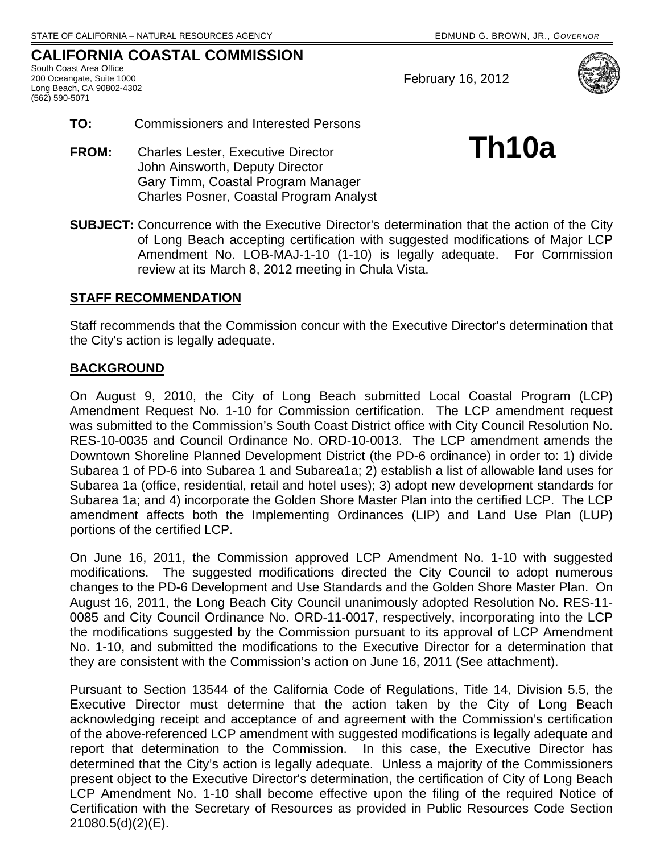## **CALIFORNIA COASTAL COMMISSION**

South Coast Area Office 200 Oceangate, Suite 1000 Long Beach, CA 90802-4302 (562) 590-5071

February 16, 2012



- **TO:** Commissioners and Interested Persons
- **FROM:** Charles Lester, Executive Director **Th10a**  John Ainsworth, Deputy Director Gary Timm, Coastal Program Manager Charles Posner, Coastal Program Analyst
- **SUBJECT:** Concurrence with the Executive Director's determination that the action of the City of Long Beach accepting certification with suggested modifications of Major LCP Amendment No. LOB-MAJ-1-10 (1-10) is legally adequate. For Commission review at its March 8, 2012 meeting in Chula Vista.

## **STAFF RECOMMENDATION**

Staff recommends that the Commission concur with the Executive Director's determination that the City's action is legally adequate.

## **BACKGROUND**

On August 9, 2010, the City of Long Beach submitted Local Coastal Program (LCP) Amendment Request No. 1-10 for Commission certification. The LCP amendment request was submitted to the Commission's South Coast District office with City Council Resolution No. RES-10-0035 and Council Ordinance No. ORD-10-0013. The LCP amendment amends the Downtown Shoreline Planned Development District (the PD-6 ordinance) in order to: 1) divide Subarea 1 of PD-6 into Subarea 1 and Subarea1a; 2) establish a list of allowable land uses for Subarea 1a (office, residential, retail and hotel uses); 3) adopt new development standards for Subarea 1a; and 4) incorporate the Golden Shore Master Plan into the certified LCP. The LCP amendment affects both the Implementing Ordinances (LIP) and Land Use Plan (LUP) portions of the certified LCP.

On June 16, 2011, the Commission approved LCP Amendment No. 1-10 with suggested modifications. The suggested modifications directed the City Council to adopt numerous changes to the PD-6 Development and Use Standards and the Golden Shore Master Plan. On August 16, 2011, the Long Beach City Council unanimously adopted Resolution No. RES-11- 0085 and City Council Ordinance No. ORD-11-0017, respectively, incorporating into the LCP the modifications suggested by the Commission pursuant to its approval of LCP Amendment No. 1-10, and submitted the modifications to the Executive Director for a determination that they are consistent with the Commission's action on June 16, 2011 (See attachment).

Pursuant to Section 13544 of the California Code of Regulations, Title 14, Division 5.5, the Executive Director must determine that the action taken by the City of Long Beach acknowledging receipt and acceptance of and agreement with the Commission's certification of the above-referenced LCP amendment with suggested modifications is legally adequate and report that determination to the Commission. In this case, the Executive Director has determined that the City's action is legally adequate. Unless a majority of the Commissioners present object to the Executive Director's determination, the certification of City of Long Beach LCP Amendment No. 1-10 shall become effective upon the filing of the required Notice of Certification with the Secretary of Resources as provided in Public Resources Code Section 21080.5(d)(2)(E).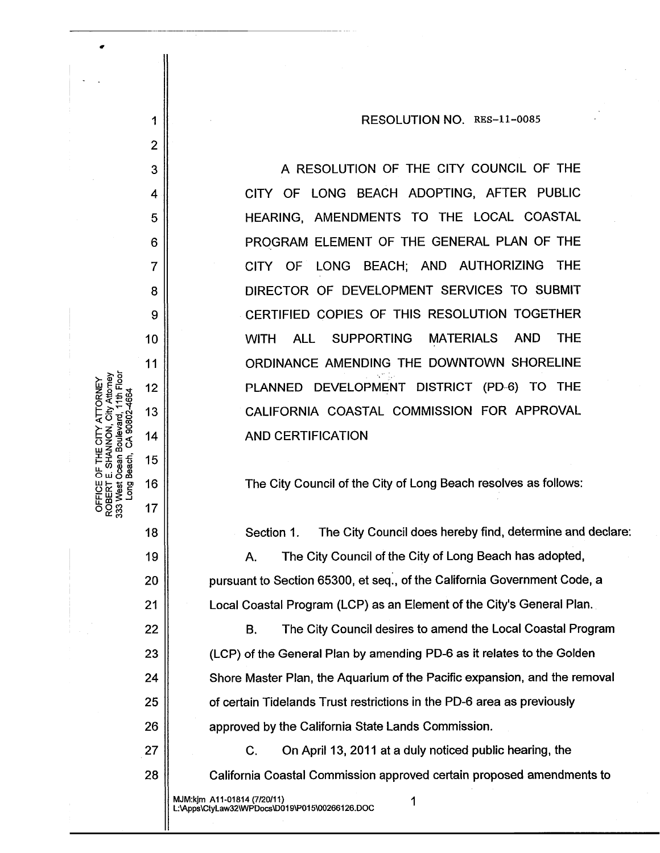RESOLUTION NO. RES-11-0085

A RESOLUTION OF THE CITY COUNCIL OF THE CITY OF LONG BEACH ADOPTING, AFTER PUBLIC HEARING, AMENDMENTS TO THE LOCAL COASTAL PROGRAM ELEMENT OF THE GENERAL PLAN OF THE CITY OF LONG BEACH; AND AUTHORIZING THE DIRECTOR OF DEVELOPMENT SERVICES TO SUBMIT CERTIFIED COPIES OF THIS RESOLUTION TOGETHER **AND ALL SUPPORTING MATERIALS THE WITH** ORDINANCE AMENDING THE DOWNTOWN SHORELINE PLANNED DEVELOPMENT DISTRICT (PD-6) TO THE CALIFORNIA COASTAL COMMISSION FOR APPROVAL **AND CERTIFICATION** 

The City Council of the City of Long Beach resolves as follows:

Section 1. The City Council does hereby find, determine and declare:

A. The City Council of the City of Long Beach has adopted, pursuant to Section 65300, et seq., of the California Government Code, a Local Coastal Program (LCP) as an Element of the City's General Plan.

The City Council desires to amend the Local Coastal Program **B.** (LCP) of the General Plan by amending PD-6 as it relates to the Golden Shore Master Plan, the Aquarium of the Pacific expansion, and the removal of certain Tidelands Trust restrictions in the PD-6 area as previously approved by the California State Lands Commission.

 $C_{\cdot}$ On April 13, 2011 at a duly noticed public hearing, the California Coastal Commission approved certain proposed amendments to

MJM:kjm A11-01814 (7/20/11) L:\Apps\CtyLaw32\WPDocs\D019\P015\00266126.DOC

1

 $\overline{2}$ 

3

4

5

6

 $\overline{7}$ 

8

9

10

11

 $12$ 

13

14

15

16

17

18

19

20

21

22

23

24

25

26

27

28

Long<br>D

Vesti

TY ATTORNEY

1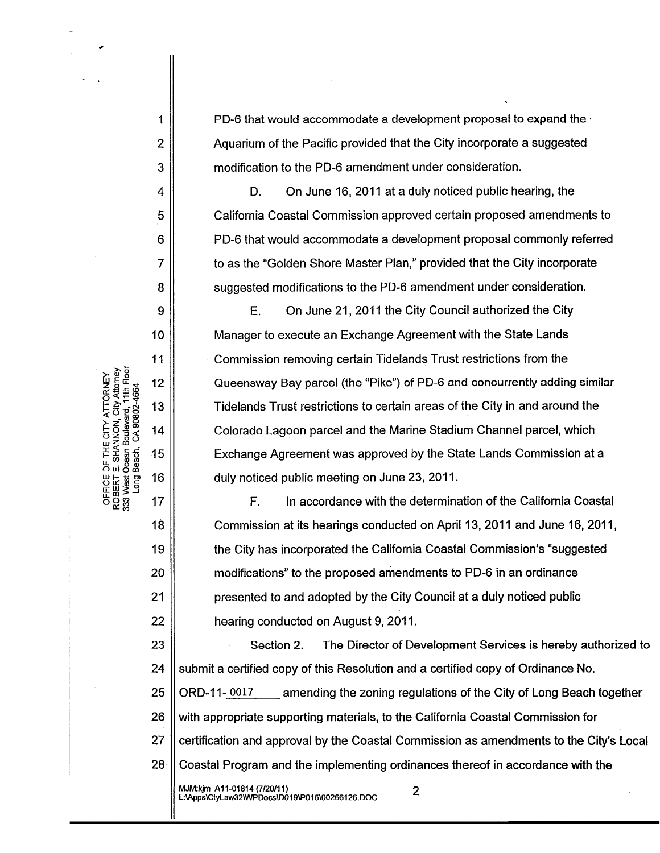PD-6 that would accommodate a development proposal to expand the Aguarium of the Pacific provided that the City incorporate a suggested modification to the PD-6 amendment under consideration.

D. On June 16, 2011 at a duly noticed public hearing, the California Coastal Commission approved certain proposed amendments to PD-6 that would accommodate a development proposal commonly referred to as the "Golden Shore Master Plan," provided that the City incorporate suggested modifications to the PD-6 amendment under consideration.

On June 21, 2011 the City Council authorized the City E. Manager to execute an Exchange Agreement with the State Lands Commission removing certain Tidelands Trust restrictions from the Queensway Bay parcel (the "Pike") of PD-6 and concurrently adding similar Tidelands Trust restrictions to certain areas of the City in and around the Colorado Lagoon parcel and the Marine Stadium Channel parcel, which Exchange Agreement was approved by the State Lands Commission at a duly noticed public meeting on June 23, 2011.

 $F_{\cdot}$ In accordance with the determination of the California Coastal Commission at its hearings conducted on April 13, 2011 and June 16, 2011, the City has incorporated the California Coastal Commission's "suggested" modifications" to the proposed amendments to PD-6 in an ordinance presented to and adopted by the City Council at a duly noticed public hearing conducted on August 9, 2011.

23 Section 2. The Director of Development Services is hereby authorized to 24 submit a certified copy of this Resolution and a certified copy of Ordinance No. 25 ORD-11-0017 amending the zoning regulations of the City of Long Beach together 26 with appropriate supporting materials, to the California Coastal Commission for 27 certification and approval by the Coastal Commission as amendments to the City's Local 28 Coastal Program and the implementing ordinances thereof in accordance with the

2

MJM:kjm\_A11-01814 (7/20/11)<br>L:VApps\CtyLaw32\WPDocs\D019\P015\00266126.DOC

ROBERT E. SHANNON, City Attorney<br>333 West Ocean Boulevard, 11th Floor OFFICE OF THE CITY ATTORNEY CA 90802-4664 Beach, i puo 1

 $\overline{2}$ 

3

4

5

6

 $\overline{7}$ 

8

 $\Omega$ 

10

11

 $12$ 

13

14

15

16

17

18

19

20

 $21$ 

22